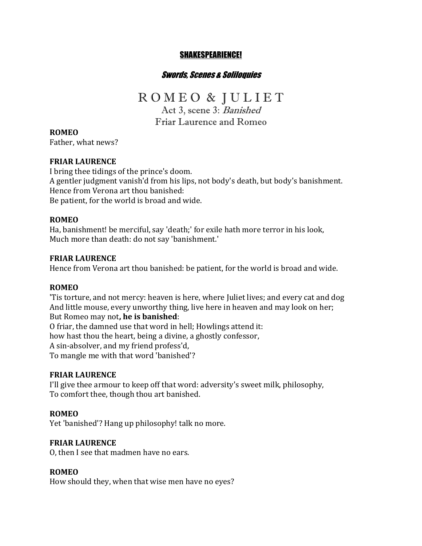# SHAKESPEARIENCE!

# Swords, Scenes & Soliloquies

# R O M E O & J U L I E T

Act 3, scene 3: Banished Friar Laurence and Romeo

**ROMEO** Father, what news?

# **FRIAR LAURENCE**

I bring thee tidings of the prince's doom. A gentler judgment vanish'd from his lips, not body's death, but body's banishment. Hence from Verona art thou banished: Be patient, for the world is broad and wide.

#### **ROMEO**

Ha, banishment! be merciful, say 'death;' for exile hath more terror in his look, Much more than death: do not say 'banishment.'

#### **FRIAR LAURENCE**

Hence from Verona art thou banished: be patient, for the world is broad and wide.

#### **ROMEO**

'Tis torture, and not mercy: heaven is here, where Juliet lives; and every cat and dog And little mouse, every unworthy thing, live here in heaven and may look on her; But Romeo may not, **he is banished**:

O friar, the damned use that word in hell; Howlings attend it:

how hast thou the heart, being a divine, a ghostly confessor,

A sin-absolver, and my friend profess'd,

To mangle me with that word 'banished'?

#### **FRIAR LAURENCE**

I'll give thee armour to keep off that word: adversity's sweet milk, philosophy, To comfort thee, though thou art banished.

#### **ROMEO**

Yet 'banished'? Hang up philosophy! talk no more.

#### **FRIAR LAURENCE**

O, then I see that madmen have no ears.

#### **ROMEO**

How should they, when that wise men have no eyes?